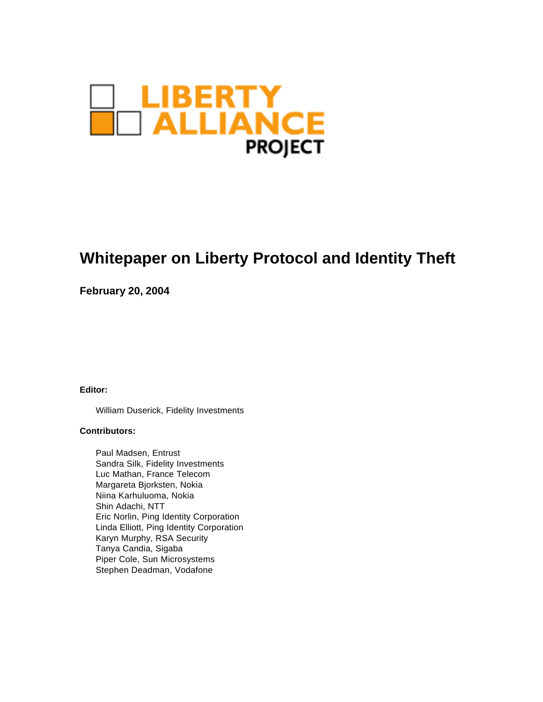

# **Whitepaper on Liberty Protocol and Identity Theft**

**February 20, 2004**

**Editor:** 

William Duserick, Fidelity Investments

#### **Contributors:**

Paul Madsen, Entrust Sandra Silk, Fidelity Investments Luc Mathan, France Telecom Margareta Bjorksten, Nokia Niina Karhuluoma, Nokia Shin Adachi, NTT Eric Norlin, Ping Identity Corporation Linda Elliott, Ping Identity Corporation Karyn Murphy, RSA Security Tanya Candia, Sigaba Piper Cole, Sun Microsystems Stephen Deadman, Vodafone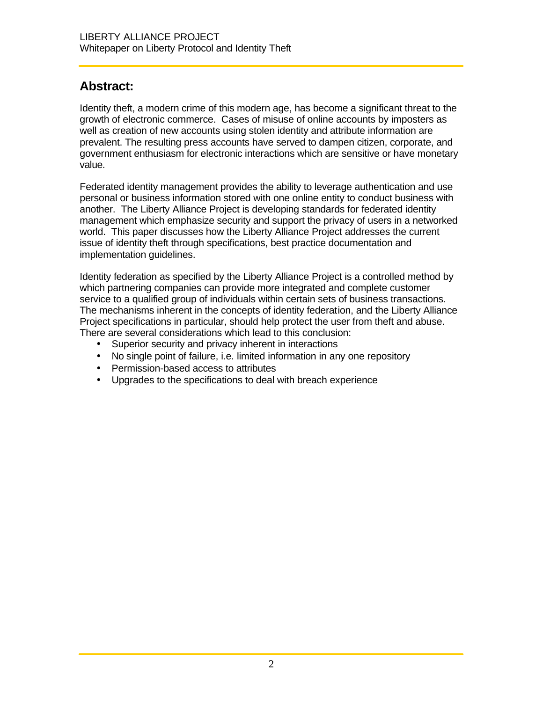### **Abstract:**

Identity theft, a modern crime of this modern age, has become a significant threat to the growth of electronic commerce. Cases of misuse of online accounts by imposters as well as creation of new accounts using stolen identity and attribute information are prevalent. The resulting press accounts have served to dampen citizen, corporate, and government enthusiasm for electronic interactions which are sensitive or have monetary value.

Federated identity management provides the ability to leverage authentication and use personal or business information stored with one online entity to conduct business with another. The Liberty Alliance Project is developing standards for federated identity management which emphasize security and support the privacy of users in a networked world. This paper discusses how the Liberty Alliance Project addresses the current issue of identity theft through specifications, best practice documentation and implementation guidelines.

Identity federation as specified by the Liberty Alliance Project is a controlled method by which partnering companies can provide more integrated and complete customer service to a qualified group of individuals within certain sets of business transactions. The mechanisms inherent in the concepts of identity federation, and the Liberty Alliance Project specifications in particular, should help protect the user from theft and abuse. There are several considerations which lead to this conclusion:

- Superior security and privacy inherent in interactions
- No single point of failure, i.e. limited information in any one repository
- Permission-based access to attributes
- Upgrades to the specifications to deal with breach experience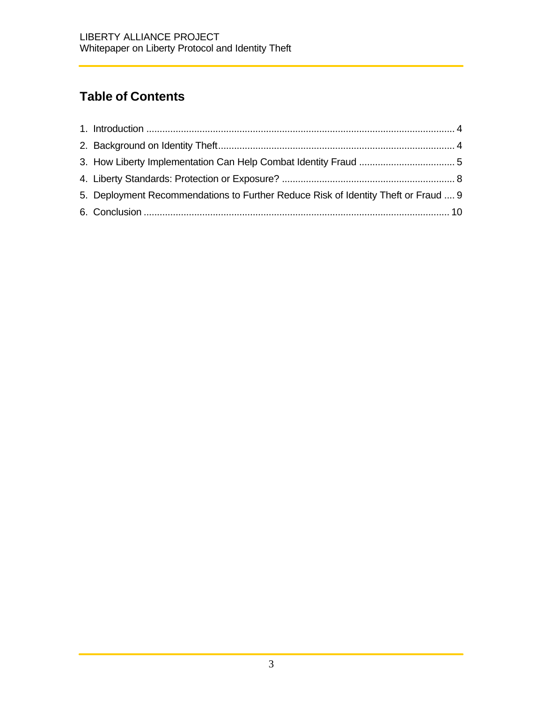# **Table of Contents**

| 5. Deployment Recommendations to Further Reduce Risk of Identity Theft or Fraud  9 |  |
|------------------------------------------------------------------------------------|--|
|                                                                                    |  |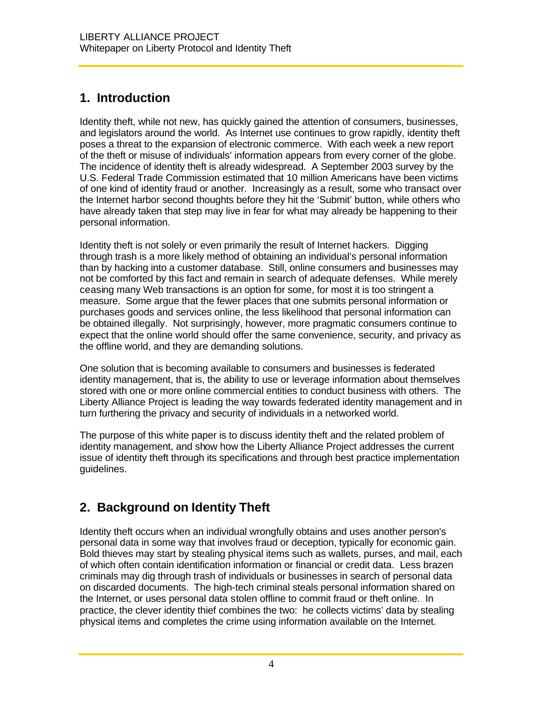## **1. Introduction**

Identity theft, while not new, has quickly gained the attention of consumers, businesses, and legislators around the world. As Internet use continues to grow rapidly, identity theft poses a threat to the expansion of electronic commerce. With each week a new report of the theft or misuse of individuals' information appears from every corner of the globe. The incidence of identity theft is already widespread. A September 2003 survey by the U.S. Federal Trade Commission estimated that 10 million Americans have been victims of one kind of identity fraud or another. Increasingly as a result, some who transact over the Internet harbor second thoughts before they hit the 'Submit' button, while others who have already taken that step may live in fear for what may already be happening to their personal information.

Identity theft is not solely or even primarily the result of Internet hackers. Digging through trash is a more likely method of obtaining an individual's personal information than by hacking into a customer database. Still, online consumers and businesses may not be comforted by this fact and remain in search of adequate defenses. While merely ceasing many Web transactions is an option for some, for most it is too stringent a measure. Some argue that the fewer places that one submits personal information or purchases goods and services online, the less likelihood that personal information can be obtained illegally. Not surprisingly, however, more pragmatic consumers continue to expect that the online world should offer the same convenience, security, and privacy as the offline world, and they are demanding solutions.

One solution that is becoming available to consumers and businesses is federated identity management, that is, the ability to use or leverage information about themselves stored with one or more online commercial entities to conduct business with others. The Liberty Alliance Project is leading the way towards federated identity management and in turn furthering the privacy and security of individuals in a networked world.

The purpose of this white paper is to discuss identity theft and the related problem of identity management, and show how the Liberty Alliance Project addresses the current issue of identity theft through its specifications and through best practice implementation guidelines.

# **2. Background on Identity Theft**

Identity theft occurs when an individual wrongfully obtains and uses another person's personal data in some way that involves fraud or deception, typically for economic gain. Bold thieves may start by stealing physical items such as wallets, purses, and mail, each of which often contain identification information or financial or credit data. Less brazen criminals may dig through trash of individuals or businesses in search of personal data on discarded documents. The high-tech criminal steals personal information shared on the Internet, or uses personal data stolen offline to commit fraud or theft online. In practice, the clever identity thief combines the two: he collects victims' data by stealing physical items and completes the crime using information available on the Internet.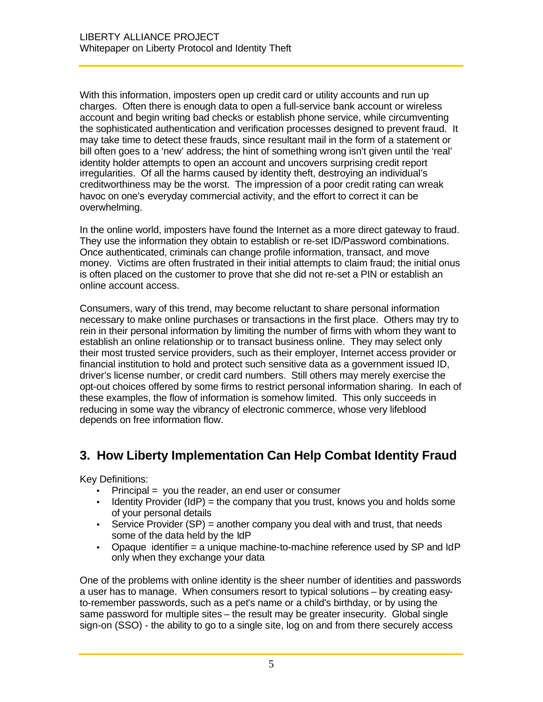With this information, imposters open up credit card or utility accounts and run up charges. Often there is enough data to open a full-service bank account or wireless account and begin writing bad checks or establish phone service, while circumventing the sophisticated authentication and verification processes designed to prevent fraud. It may take time to detect these frauds, since resultant mail in the form of a statement or bill often goes to a 'new' address; the hint of something wrong isn't given until the 'real' identity holder attempts to open an account and uncovers surprising credit report irregularities. Of all the harms caused by identity theft, destroying an individual's creditworthiness may be the worst. The impression of a poor credit rating can wreak havoc on one's everyday commercial activity, and the effort to correct it can be overwhelming.

In the online world, imposters have found the Internet as a more direct gateway to fraud. They use the information they obtain to establish or re-set ID/Password combinations. Once authenticated, criminals can change profile information, transact, and move money. Victims are often frustrated in their initial attempts to claim fraud; the initial onus is often placed on the customer to prove that she did not re-set a PIN or establish an online account access.

Consumers, wary of this trend, may become reluctant to share personal information necessary to make online purchases or transactions in the first place. Others may try to rein in their personal information by limiting the number of firms with whom they want to establish an online relationship or to transact business online. They may select only their most trusted service providers, such as their employer, Internet access provider or financial institution to hold and protect such sensitive data as a government issued ID, driver's license number, or credit card numbers. Still others may merely exercise the opt-out choices offered by some firms to restrict personal information sharing. In each of these examples, the flow of information is somehow limited. This only succeeds in reducing in some way the vibrancy of electronic commerce, whose very lifeblood depends on free information flow.

### **3. How Liberty Implementation Can Help Combat Identity Fraud**

Key Definitions:

- $Principal = you$  the reader, an end user or consumer
- Identity Provider (IdP) = the company that you trust, knows you and holds some of your personal details
- Service Provider  $(SP)$  = another company you deal with and trust, that needs some of the data held by the IdP
- Opaque identifier = a unique machine-to-machine reference used by SP and IdP only when they exchange your data

One of the problems with online identity is the sheer number of identities and passwords a user has to manage. When consumers resort to typical solutions – by creating easyto-remember passwords, such as a pet's name or a child's birthday, or by using the same password for multiple sites – the result may be greater insecurity. Global single sign-on (SSO) - the ability to go to a single site, log on and from there securely access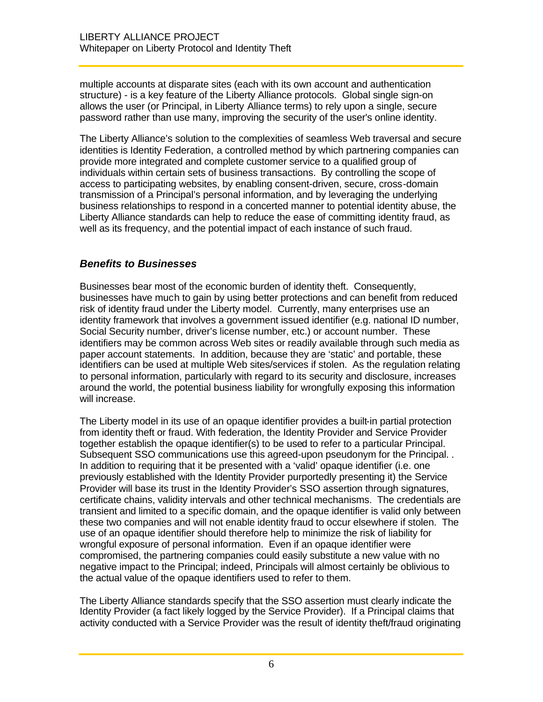multiple accounts at disparate sites (each with its own account and authentication structure) - is a key feature of the Liberty Alliance protocols. Global single sign-on allows the user (or Principal, in Liberty Alliance terms) to rely upon a single, secure password rather than use many, improving the security of the user's online identity.

The Liberty Alliance's solution to the complexities of seamless Web traversal and secure identities is Identity Federation, a controlled method by which partnering companies can provide more integrated and complete customer service to a qualified group of individuals within certain sets of business transactions. By controlling the scope of access to participating websites, by enabling consent-driven, secure, cross-domain transmission of a Principal's personal information, and by leveraging the underlying business relationships to respond in a concerted manner to potential identity abuse, the Liberty Alliance standards can help to reduce the ease of committing identity fraud, as well as its frequency, and the potential impact of each instance of such fraud.

### *Benefits to Businesses*

Businesses bear most of the economic burden of identity theft. Consequently, businesses have much to gain by using better protections and can benefit from reduced risk of identity fraud under the Liberty model. Currently, many enterprises use an identity framework that involves a government issued identifier (e.g. national ID number, Social Security number, driver's license number, etc.) or account number. These identifiers may be common across Web sites or readily available through such media as paper account statements. In addition, because they are 'static' and portable, these identifiers can be used at multiple Web sites/services if stolen. As the regulation relating to personal information, particularly with regard to its security and disclosure, increases around the world, the potential business liability for wrongfully exposing this information will increase.

The Liberty model in its use of an opaque identifier provides a built-in partial protection from identity theft or fraud. With federation, the Identity Provider and Service Provider together establish the opaque identifier(s) to be used to refer to a particular Principal. Subsequent SSO communications use this agreed-upon pseudonym for the Principal. . In addition to requiring that it be presented with a 'valid' opaque identifier (i.e. one previously established with the Identity Provider purportedly presenting it) the Service Provider will base its trust in the Identity Provider's SSO assertion through signatures, certificate chains, validity intervals and other technical mechanisms. The credentials are transient and limited to a specific domain, and the opaque identifier is valid only between these two companies and will not enable identity fraud to occur elsewhere if stolen. The use of an opaque identifier should therefore help to minimize the risk of liability for wrongful exposure of personal information. Even if an opaque identifier were compromised, the partnering companies could easily substitute a new value with no negative impact to the Principal; indeed, Principals will almost certainly be oblivious to the actual value of the opaque identifiers used to refer to them.

The Liberty Alliance standards specify that the SSO assertion must clearly indicate the Identity Provider (a fact likely logged by the Service Provider). If a Principal claims that activity conducted with a Service Provider was the result of identity theft/fraud originating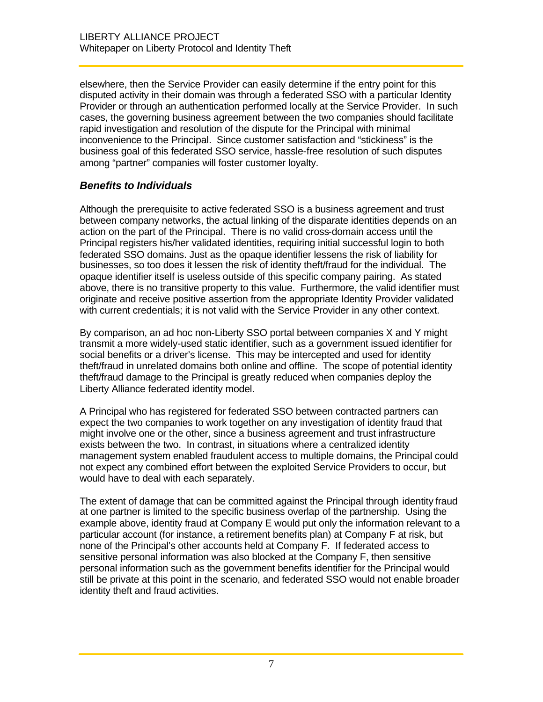elsewhere, then the Service Provider can easily determine if the entry point for this disputed activity in their domain was through a federated SSO with a particular Identity Provider or through an authentication performed locally at the Service Provider. In such cases, the governing business agreement between the two companies should facilitate rapid investigation and resolution of the dispute for the Principal with minimal inconvenience to the Principal. Since customer satisfaction and "stickiness" is the business goal of this federated SSO service, hassle-free resolution of such disputes among "partner" companies will foster customer loyalty.

### *Benefits to Individuals*

Although the prerequisite to active federated SSO is a business agreement and trust between company networks, the actual linking of the disparate identities depends on an action on the part of the Principal. There is no valid cross-domain access until the Principal registers his/her validated identities, requiring initial successful login to both federated SSO domains. Just as the opaque identifier lessens the risk of liability for businesses, so too does it lessen the risk of identity theft/fraud for the individual. The opaque identifier itself is useless outside of this specific company pairing. As stated above, there is no transitive property to this value. Furthermore, the valid identifier must originate and receive positive assertion from the appropriate Identity Provider validated with current credentials; it is not valid with the Service Provider in any other context.

By comparison, an ad hoc non-Liberty SSO portal between companies X and Y might transmit a more widely-used static identifier, such as a government issued identifier for social benefits or a driver's license. This may be intercepted and used for identity theft/fraud in unrelated domains both online and offline. The scope of potential identity theft/fraud damage to the Principal is greatly reduced when companies deploy the Liberty Alliance federated identity model.

A Principal who has registered for federated SSO between contracted partners can expect the two companies to work together on any investigation of identity fraud that might involve one or the other, since a business agreement and trust infrastructure exists between the two. In contrast, in situations where a centralized identity management system enabled fraudulent access to multiple domains, the Principal could not expect any combined effort between the exploited Service Providers to occur, but would have to deal with each separately.

The extent of damage that can be committed against the Principal through identity fraud at one partner is limited to the specific business overlap of the partnership. Using the example above, identity fraud at Company E would put only the information relevant to a particular account (for instance, a retirement benefits plan) at Company F at risk, but none of the Principal's other accounts held at Company F. If federated access to sensitive personal information was also blocked at the Company F, then sensitive personal information such as the government benefits identifier for the Principal would still be private at this point in the scenario, and federated SSO would not enable broader identity theft and fraud activities.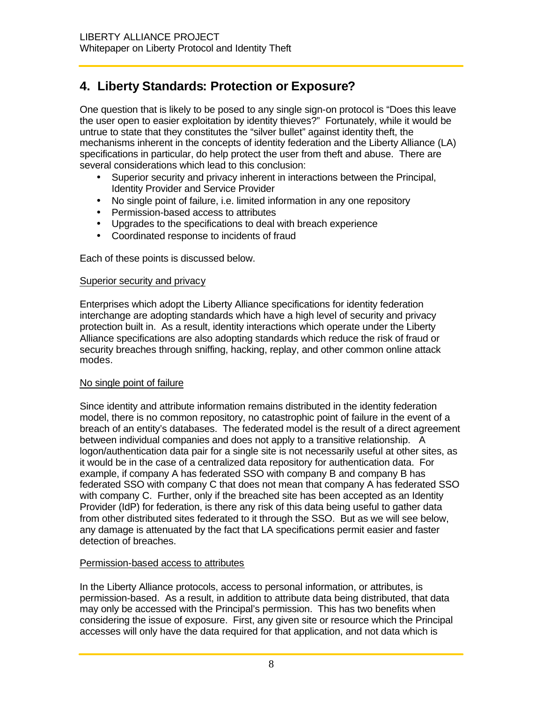## **4. Liberty Standards: Protection or Exposure?**

One question that is likely to be posed to any single sign-on protocol is "Does this leave the user open to easier exploitation by identity thieves?" Fortunately, while it would be untrue to state that they constitutes the "silver bullet" against identity theft, the mechanisms inherent in the concepts of identity federation and the Liberty Alliance (LA) specifications in particular, do help protect the user from theft and abuse. There are several considerations which lead to this conclusion:

- Superior security and privacy inherent in interactions between the Principal, Identity Provider and Service Provider
- No single point of failure, i.e. limited information in any one repository
- Permission-based access to attributes
- Upgrades to the specifications to deal with breach experience
- Coordinated response to incidents of fraud

Each of these points is discussed below.

#### Superior security and privacy

Enterprises which adopt the Liberty Alliance specifications for identity federation interchange are adopting standards which have a high level of security and privacy protection built in. As a result, identity interactions which operate under the Liberty Alliance specifications are also adopting standards which reduce the risk of fraud or security breaches through sniffing, hacking, replay, and other common online attack modes.

### No single point of failure

Since identity and attribute information remains distributed in the identity federation model, there is no common repository, no catastrophic point of failure in the event of a breach of an entity's databases. The federated model is the result of a direct agreement between individual companies and does not apply to a transitive relationship. A logon/authentication data pair for a single site is not necessarily useful at other sites, as it would be in the case of a centralized data repository for authentication data. For example, if company A has federated SSO with company B and company B has federated SSO with company C that does not mean that company A has federated SSO with company C. Further, only if the breached site has been accepted as an Identity Provider (IdP) for federation, is there any risk of this data being useful to gather data from other distributed sites federated to it through the SSO. But as we will see below, any damage is attenuated by the fact that LA specifications permit easier and faster detection of breaches.

### Permission-based access to attributes

In the Liberty Alliance protocols, access to personal information, or attributes, is permission-based. As a result, in addition to attribute data being distributed, that data may only be accessed with the Principal's permission. This has two benefits when considering the issue of exposure. First, any given site or resource which the Principal accesses will only have the data required for that application, and not data which is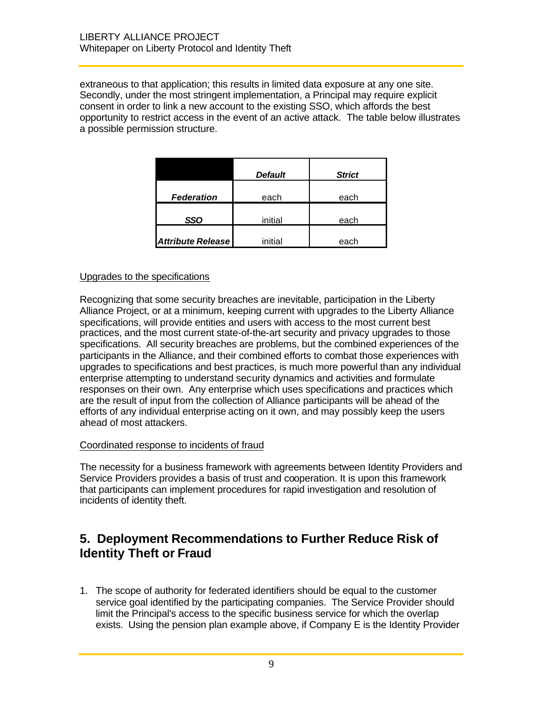extraneous to that application; this results in limited data exposure at any one site. Secondly, under the most stringent implementation, a Principal may require explicit consent in order to link a new account to the existing SSO, which affords the best opportunity to restrict access in the event of an active attack. The table below illustrates a possible permission structure.

|                          | <b>Default</b> | <b>Strict</b> |
|--------------------------|----------------|---------------|
| <b>Federation</b>        | each           | each          |
| SSO                      | initial        | each          |
| <b>Attribute Release</b> | initial        | each          |

#### Upgrades to the specifications

Recognizing that some security breaches are inevitable, participation in the Liberty Alliance Project, or at a minimum, keeping current with upgrades to the Liberty Alliance specifications, will provide entities and users with access to the most current best practices, and the most current state-of-the-art security and privacy upgrades to those specifications. All security breaches are problems, but the combined experiences of the participants in the Alliance, and their combined efforts to combat those experiences with upgrades to specifications and best practices, is much more powerful than any individual enterprise attempting to understand security dynamics and activities and formulate responses on their own. Any enterprise which uses specifications and practices which are the result of input from the collection of Alliance participants will be ahead of the efforts of any individual enterprise acting on it own, and may possibly keep the users ahead of most attackers.

#### Coordinated response to incidents of fraud

The necessity for a business framework with agreements between Identity Providers and Service Providers provides a basis of trust and cooperation. It is upon this framework that participants can implement procedures for rapid investigation and resolution of incidents of identity theft.

### **5. Deployment Recommendations to Further Reduce Risk of Identity Theft or Fraud**

1. The scope of authority for federated identifiers should be equal to the customer service goal identified by the participating companies. The Service Provider should limit the Principal's access to the specific business service for which the overlap exists. Using the pension plan example above, if Company E is the Identity Provider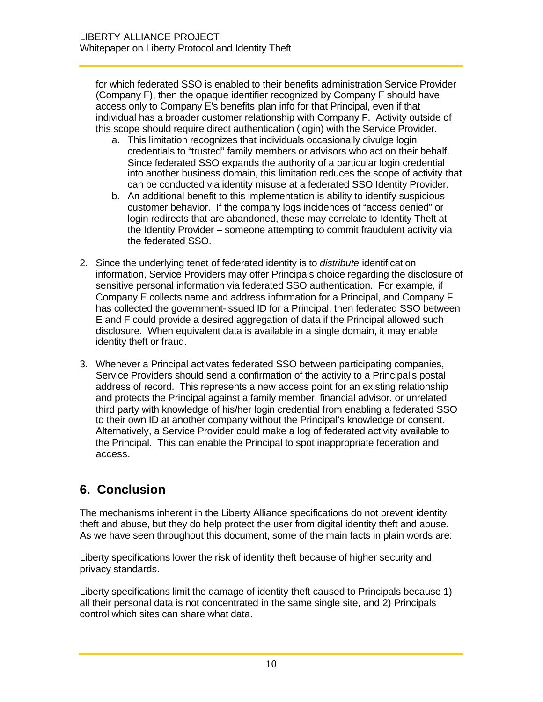for which federated SSO is enabled to their benefits administration Service Provider (Company F), then the opaque identifier recognized by Company F should have access only to Company E's benefits plan info for that Principal, even if that individual has a broader customer relationship with Company F. Activity outside of this scope should require direct authentication (login) with the Service Provider.

- a. This limitation recognizes that individuals occasionally divulge login credentials to "trusted" family members or advisors who act on their behalf. Since federated SSO expands the authority of a particular login credential into another business domain, this limitation reduces the scope of activity that can be conducted via identity misuse at a federated SSO Identity Provider.
- b. An additional benefit to this implementation is ability to identify suspicious customer behavior. If the company logs incidences of "access denied" or login redirects that are abandoned, these may correlate to Identity Theft at the Identity Provider – someone attempting to commit fraudulent activity via the federated SSO.
- 2. Since the underlying tenet of federated identity is to *distribute* identification information, Service Providers may offer Principals choice regarding the disclosure of sensitive personal information via federated SSO authentication. For example, if Company E collects name and address information for a Principal, and Company F has collected the government-issued ID for a Principal, then federated SSO between E and F could provide a desired aggregation of data if the Principal allowed such disclosure. When equivalent data is available in a single domain, it may enable identity theft or fraud.
- 3. Whenever a Principal activates federated SSO between participating companies, Service Providers should send a confirmation of the activity to a Principal's postal address of record. This represents a new access point for an existing relationship and protects the Principal against a family member, financial advisor, or unrelated third party with knowledge of his/her login credential from enabling a federated SSO to their own ID at another company without the Principal's knowledge or consent. Alternatively, a Service Provider could make a log of federated activity available to the Principal. This can enable the Principal to spot inappropriate federation and access.

### **6. Conclusion**

The mechanisms inherent in the Liberty Alliance specifications do not prevent identity theft and abuse, but they do help protect the user from digital identity theft and abuse. As we have seen throughout this document, some of the main facts in plain words are:

Liberty specifications lower the risk of identity theft because of higher security and privacy standards.

Liberty specifications limit the damage of identity theft caused to Principals because 1) all their personal data is not concentrated in the same single site, and 2) Principals control which sites can share what data.